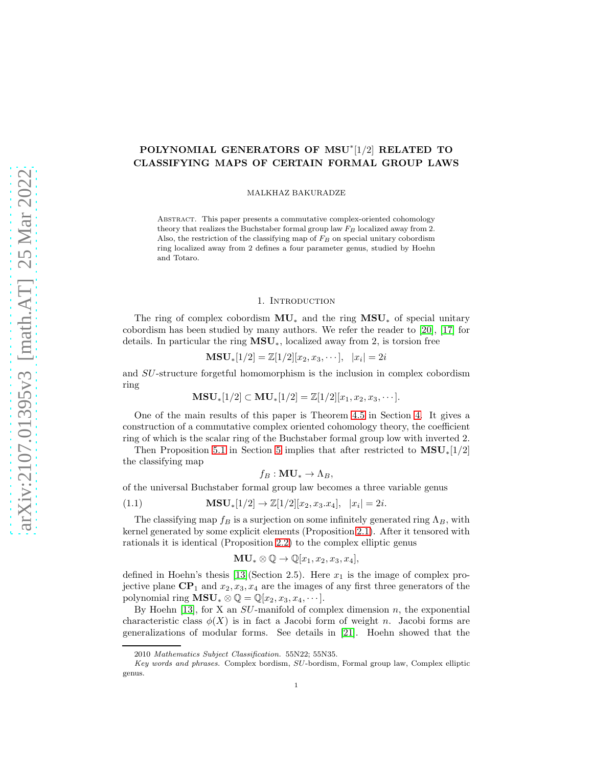# POLYNOMIAL GENERATORS OF MSU<sup>\*</sup>[1/2] RELATED TO CLASSIFYING MAPS OF CERTAIN FORMAL GROUP LAWS

MALKHAZ BAKURADZE

Abstract. This paper presents a commutative complex-oriented cohomology theory that realizes the Buchstaber formal group law  $F_B$  localized away from 2. Also, the restriction of the classifying map of  $F_B$  on special unitary cobordism ring localized away from 2 defines a four parameter genus, studied by Hoehn and Totaro.

#### 1. Introduction

The ring of complex cobordism  $MU_*$  and the ring  $MSU_*$  of special unitary cobordism has been studied by many authors. We refer the reader to [\[20\]](#page-12-0), [\[17\]](#page-12-1) for details. In particular the ring  $MSU_*$ , localized away from 2, is torsion free

$$
\mathbf{MSU}_{*}[1/2] = \mathbb{Z}[1/2][x_2, x_3, \cdots], |x_i| = 2i
$$

and SU-structure forgetful homomorphism is the inclusion in complex cobordism ring

$$
\mathbf{MSU}_{*}[1/2] \subset \mathbf{MU}_{*}[1/2] = \mathbb{Z}[1/2][x_1, x_2, x_3, \cdots].
$$

One of the main results of this paper is Theorem [4.5](#page-7-0) in Section [4.](#page-4-0) It gives a construction of a commutative complex oriented cohomology theory, the coefficient ring of which is the scalar ring of the Buchstaber formal group low with inverted 2.

Then Proposition [5.1](#page-7-1) in Section [5](#page-7-2) implies that after restricted to  $\text{MSU}_*[1/2]$ the classifying map

$$
f_B:\mathbf{MU}_*\to\Lambda_B,
$$

of the universal Buchstaber formal group law becomes a three variable genus

(1.1) 
$$
\mathbf{MSU}_{*}[1/2] \to \mathbb{Z}[1/2][x_2, x_3.x_4], |x_i| = 2i.
$$

The classifying map  $f_B$  is a surjection on some infinitely generated ring  $\Lambda_B$ , with kernel generated by some explicit elements (Proposition [2.1\)](#page-3-0). After it tensored with rationals it is identical (Proposition [2.2\)](#page-3-1) to the complex elliptic genus

$$
\mathbf{MU}_{*} \otimes \mathbb{Q} \to \mathbb{Q}[x_1, x_2, x_3, x_4],
$$

defined in Hoehn's thesis [\[13\]](#page-12-2)(Section 2.5). Here  $x_1$  is the image of complex projective plane  $\mathbf{CP}_1$  and  $x_2, x_3, x_4$  are the images of any first three generators of the polynomial ring  $\mathbf{MSU}_* \otimes \mathbb{Q} = \mathbb{Q}[x_2, x_3, x_4, \cdots].$ 

By Hoehn [\[13\]](#page-12-2), for X an  $SU$ -manifold of complex dimension n, the exponential characteristic class  $\phi(X)$  is in fact a Jacobi form of weight n. Jacobi forms are generalizations of modular forms. See details in [\[21\]](#page-12-3). Hoehn showed that the

<sup>2010</sup> Mathematics Subject Classification. 55N22; 55N35.

Key words and phrases. Complex bordism, SU-bordism, Formal group law, Complex elliptic genus.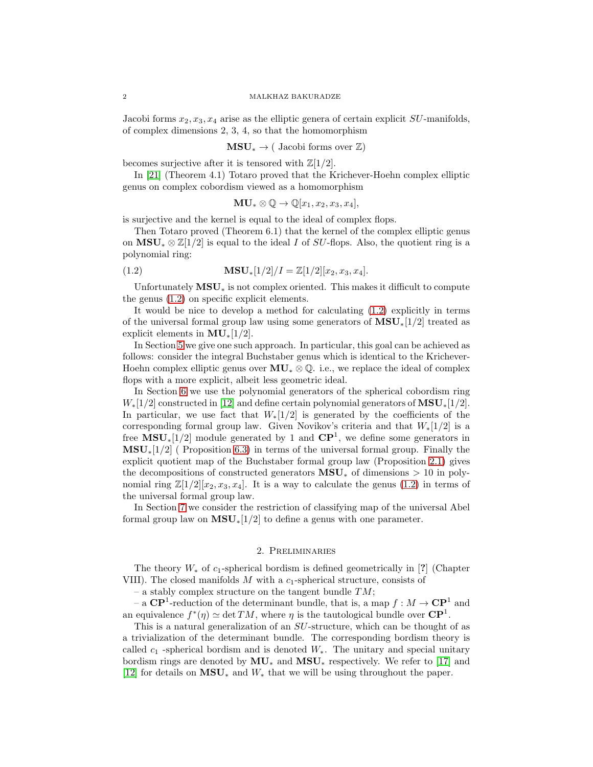Jacobi forms  $x_2, x_3, x_4$  arise as the elliptic genera of certain explicit  $SU$ -manifolds, of complex dimensions 2, 3, 4, so that the homomorphism

$$
\mathbf{MSU}_{*} \to (\begin{array}{c} \text{Jacobi forms over } \mathbb{Z} \end{array})
$$

becomes surjective after it is tensored with  $\mathbb{Z}[1/2]$ .

In [\[21\]](#page-12-3) (Theorem 4.1) Totaro proved that the Krichever-Hoehn complex elliptic genus on complex cobordism viewed as a homomorphism

<span id="page-1-0"></span>
$$
\mathbf{MU}_{*} \otimes \mathbb{Q} \to \mathbb{Q}[x_1, x_2, x_3, x_4],
$$

is surjective and the kernel is equal to the ideal of complex flops.

Then Totaro proved (Theorem 6.1) that the kernel of the complex elliptic genus on  $\overline{\text{MSU}}_* \otimes \mathbb{Z}[1/2]$  is equal to the ideal I of SU-flops. Also, the quotient ring is a polynomial ring:

(1.2) 
$$
\mathbf{MSU}_{*}[1/2]/I = \mathbb{Z}[1/2][x_2, x_3, x_4].
$$

Unfortunately  $\text{MSU}_*$  is not complex oriented. This makes it difficult to compute the genus [\(1.2\)](#page-1-0) on specific explicit elements.

It would be nice to develop a method for calculating [\(1.2\)](#page-1-0) explicitly in terms of the universal formal group law using some generators of  $\mathbf{MSU}_*[1/2]$  treated as explicit elements in  $MU_*[1/2]$ .

In Section [5](#page-7-2) we give one such approach. In particular, this goal can be achieved as follows: consider the integral Buchstaber genus which is identical to the Krichever-Hoehn complex elliptic genus over  $MU_* \otimes \mathbb{Q}$ . i.e., we replace the ideal of complex flops with a more explicit, albeit less geometric ideal.

In Section [6](#page-8-0) we use the polynomial generators of the spherical cobordism ring  $W_*[1/2]$  constructed in [\[12\]](#page-12-4) and define certain polynomial generators of  $\text{MSU}_*[1/2]$ . In particular, we use fact that  $W_*[1/2]$  is generated by the coefficients of the corresponding formal group law. Given Novikov's criteria and that  $W_*[1/2]$  is a free  $\text{MSU}_*[1/2]$  module generated by 1 and  $\text{CP}^1$ , we define some generators in  $\text{MSU}_*(1/2)$  (Proposition [6.3\)](#page-10-0) in terms of the universal formal group. Finally the explicit quotient map of the Buchstaber formal group law (Proposition [2.1\)](#page-3-0) gives the decompositions of constructed generators  $\text{MSU}_*$  of dimensions > 10 in polynomial ring  $\mathbb{Z}[1/2][x_2, x_3, x_4]$ . It is a way to calculate the genus [\(1.2\)](#page-1-0) in terms of the universal formal group law.

In Section [7](#page-10-1) we consider the restriction of classifying map of the universal Abel formal group law on  $MSU_*[1/2]$  to define a genus with one parameter.

### 2. Preliminaries

The theory  $W_*$  of  $c_1$ -spherical bordism is defined geometrically in [?] (Chapter VIII). The closed manifolds  $M$  with a  $c_1$ -spherical structure, consists of

– a stably complex structure on the tangent bundle  $TM$ ;

– a  $\mathbb{CP}^1$ -reduction of the determinant bundle, that is, a map  $f: M \to \mathbb{CP}^1$  and an equivalence  $f^*(\eta) \simeq \det TM$ , where  $\eta$  is the tautological bundle over  $\mathbf{CP}^1$ .

This is a natural generalization of an SU-structure, which can be thought of as a trivialization of the determinant bundle. The corresponding bordism theory is called  $c_1$  -spherical bordism and is denoted  $W_*$ . The unitary and special unitary bordism rings are denoted by  $MU_*$  and  $MSU_*$  respectively. We refer to [\[17\]](#page-12-1) and [\[12\]](#page-12-4) for details on  $\mathbf{MSU}_*$  and  $W_*$  that we will be using throughout the paper.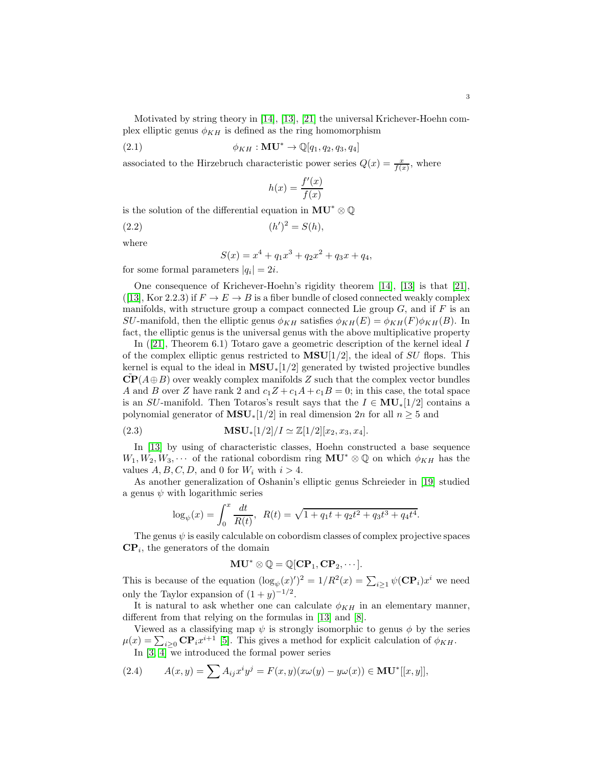Motivated by string theory in [\[14\]](#page-12-5), [\[13\]](#page-12-2), [\[21\]](#page-12-3) the universal Krichever-Hoehn complex elliptic genus  $\phi_{KH}$  is defined as the ring homomorphism

(2.1) 
$$
\phi_{KH}: \mathbf{MU}^* \to \mathbb{Q}[q_1, q_2, q_3, q_4]
$$

associated to the Hirzebruch characteristic power series  $Q(x) = \frac{x}{f(x)}$ , where

$$
h(x) = \frac{f'(x)}{f(x)}
$$

is the solution of the differential equation in  $MU^* \otimes \mathbb{Q}$ 

(2.2) 
$$
(h')^2 = S(h),
$$

where

$$
S(x) = x^4 + q_1 x^3 + q_2 x^2 + q_3 x + q_4,
$$

for some formal parameters  $|q_i| = 2i$ .

One consequence of Krichever-Hoehn's rigidity theorem [\[14\]](#page-12-5), [\[13\]](#page-12-2) is that [\[21\]](#page-12-3), ([\[13\]](#page-12-2), Kor 2.2.3) if  $F \to E \to B$  is a fiber bundle of closed connected weakly complex manifolds, with structure group a compact connected Lie group  $G$ , and if  $F$  is an SU-manifold, then the elliptic genus  $\phi_{KH}$  satisfies  $\phi_{KH}(E) = \phi_{KH}(F)\phi_{KH}(B)$ . In fact, the elliptic genus is the universal genus with the above multiplicative property

In([\[21\]](#page-12-3), Theorem 6.1) Totaro gave a geometric description of the kernel ideal I of the complex elliptic genus restricted to  $MSU[1/2]$ , the ideal of SU flops. This kernel is equal to the ideal in  $\text{MSU}_*[1/2]$  generated by twisted projective bundles  $\mathbf{CP}(A \oplus B)$  over weakly complex manifolds Z such that the complex vector bundles A and B over Z have rank 2 and  $c_1Z + c_1A + c_1B = 0$ ; in this case, the total space is an SU-manifold. Then Totaros's result says that the  $I \in MU_*[1/2]$  contains a polynomial generator of  $\text{MSU}_*[1/2]$  in real dimension 2n for all  $n \geq 5$  and

(2.3) 
$$
\mathbf{MSU}_{*}[1/2]/I \simeq \mathbb{Z}[1/2][x_2, x_3, x_4].
$$

In [\[13\]](#page-12-2) by using of characteristic classes, Hoehn constructed a base sequence  $W_1, W_2, W_3, \cdots$  of the rational cobordism ring  $MU^* \otimes \mathbb{Q}$  on which  $\phi_{KH}$  has the values  $A, B, C, D$ , and 0 for  $W_i$  with  $i > 4$ .

As another generalization of Oshanin's elliptic genus Schreieder in [\[19\]](#page-12-6) studied a genus  $\psi$  with logarithmic series

$$
\log_{\psi}(x) = \int_0^x \frac{dt}{R(t)}, \ R(t) = \sqrt{1 + q_1 t + q_2 t^2 + q_3 t^3 + q_4 t^4}.
$$

The genus  $\psi$  is easily calculable on cobordism classes of complex projective spaces  $\mathbf{CP}_i$ , the generators of the domain

$$
\mathbf{MU}^* \otimes \mathbb{Q} = \mathbb{Q}[\mathbf{CP}_1, \mathbf{CP}_2, \cdots].
$$

This is because of the equation  $(\log_{\psi}(x))^{2} = 1/R^{2}(x) = \sum_{i \geq 1} \psi(\mathbf{CP}_{i})x^{i}$  we need only the Taylor expansion of  $(1 + y)^{-1/2}$ .

It is natural to ask whether one can calculate  $\phi_{KH}$  in an elementary manner, different from that relying on the formulas in [\[13\]](#page-12-2) and [\[8\]](#page-12-7).

Viewed as a classifying map  $\psi$  is strongly isomorphic to genus  $\phi$  by the series  $\mu(x) = \sum_{i \geq 0} \mathbf{CP}_i x^{i+1}$  [\[5\]](#page-12-8). This gives a method for explicit calculation of  $\phi_{KH}$ . In  $[3, 4]$  $[3, 4]$  we introduced the formal power series

(2.4) 
$$
A(x,y) = \sum A_{ij} x^i y^j = F(x,y)(x\omega(y) - y\omega(x)) \in \mathbf{MU}^*[[x,y]],
$$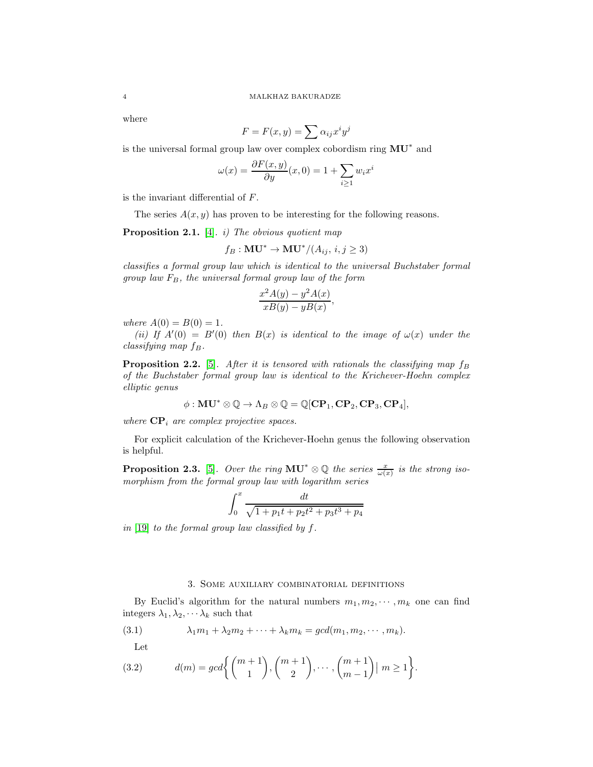where

$$
F = F(x, y) = \sum \alpha_{ij} x^i y^j
$$

is the universal formal group law over complex cobordism ring  $MU^*$  and

$$
\omega(x) = \frac{\partial F(x, y)}{\partial y}(x, 0) = 1 + \sum_{i \ge 1} w_i x^i
$$

is the invariant differential of F.

The series  $A(x, y)$  has proven to be interesting for the following reasons.

<span id="page-3-0"></span>**Proposition 2.1.** [\[4\]](#page-12-10). *i)* The obvious quotient map

$$
f_B: \mathbf{MU}^* \to \mathbf{MU}^*/(A_{ij}, i, j \ge 3)
$$

classifies a formal group law which is identical to the universal Buchstaber formal group law  $F_B$ , the universal formal group law of the form

$$
\frac{x^2A(y) - y^2A(x)}{xB(y) - yB(x)},
$$

where  $A(0) = B(0) = 1$ .

(ii) If  $A'(0) = B'(0)$  then  $B(x)$  is identical to the image of  $\omega(x)$  under the  $classifying map f_B.$ 

<span id="page-3-1"></span>**Proposition 2.2.** [\[5\]](#page-12-8). After it is tensored with rationals the classifying map  $f_B$ of the Buchstaber formal group law is identical to the Krichever-Hoehn complex elliptic genus

$$
\phi: \mathbf{MU}^* \otimes \mathbb{Q} \to \Lambda_B \otimes \mathbb{Q} = \mathbb{Q}[\mathbf{CP}_1, \mathbf{CP}_2, \mathbf{CP}_3, \mathbf{CP}_4],
$$

where  $\mathbf{CP}_i$  are complex projective spaces.

For explicit calculation of the Krichever-Hoehn genus the following observation is helpful.

**Proposition 2.3.** [\[5\]](#page-12-8). Over the ring  $MU^* \otimes \mathbb{Q}$  the series  $\frac{x}{\omega(x)}$  is the strong isomorphism from the formal group law with logarithm series

$$
\int_0^x \frac{dt}{\sqrt{1 + p_1 t + p_2 t^2 + p_3 t^3 + p_4}}
$$

in [\[19\]](#page-12-6) to the formal group law classified by  $f$ .

## <span id="page-3-2"></span>3. Some auxiliary combinatorial definitions

By Euclid's algorithm for the natural numbers  $m_1, m_2, \cdots, m_k$  one can find integers  $\lambda_1, \lambda_2, \cdots, \lambda_k$  such that

(3.1) 
$$
\lambda_1 m_1 + \lambda_2 m_2 + \cdots + \lambda_k m_k = \gcd(m_1, m_2, \cdots, m_k).
$$

<span id="page-3-3"></span>Let

(3.2) 
$$
d(m) = gcd\left\{ {m+1 \choose 1}, {m+1 \choose 2}, \cdots, {m+1 \choose m-1} \mid m \ge 1 \right\}.
$$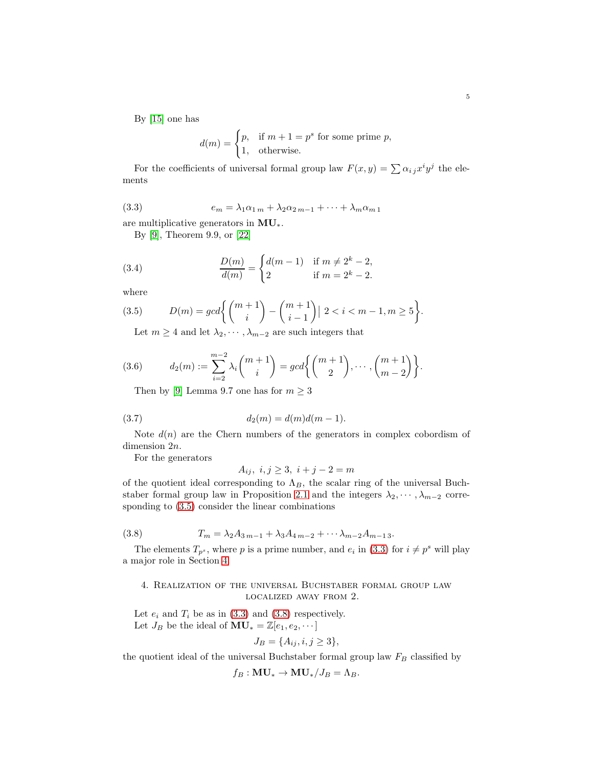By [\[15\]](#page-12-11) one has

<span id="page-4-2"></span>
$$
d(m) = \begin{cases} p, & \text{if } m+1 = p^s \text{ for some prime } p, \\ 1, & \text{otherwise.} \end{cases}
$$

For the coefficients of universal formal group law  $F(x, y) = \sum \alpha_{ij} x^i y^j$  the elements

(3.3) 
$$
e_m = \lambda_1 \alpha_{1m} + \lambda_2 \alpha_{2m-1} + \cdots + \lambda_m \alpha_{m1}
$$

are multiplicative generators in MU∗.

By [\[9\]](#page-12-12), Theorem 9.9, or [\[22\]](#page-12-13)

(3.4) 
$$
\frac{D(m)}{d(m)} = \begin{cases} d(m-1) & \text{if } m \neq 2^k - 2, \\ 2 & \text{if } m = 2^k - 2. \end{cases}
$$

where

(3.5) 
$$
D(m) = gcd\left\{ {m+1 \choose i} - {m+1 \choose i-1} \mid 2 < i < m-1, m \ge 5 \right\}.
$$

<span id="page-4-1"></span>Let  $m \geq 4$  and let  $\lambda_2, \cdots, \lambda_{m-2}$  are such integers that

(3.6) 
$$
d_2(m) := \sum_{i=2}^{m-2} \lambda_i \binom{m+1}{i} = gcd \bigg\{ \binom{m+1}{2}, \cdots, \binom{m+1}{m-2} \bigg\}.
$$

<span id="page-4-4"></span>Then by [\[9\]](#page-12-12) Lemma 9.7 one has for  $m \geq 3$ 

(3.7) 
$$
d_2(m) = d(m)d(m-1).
$$

Note  $d(n)$  are the Chern numbers of the generators in complex cobordism of dimension 2n.

For the generators

<span id="page-4-3"></span>
$$
A_{ij}, \ i, j \ge 3, \ i+j-2 = m
$$

of the quotient ideal corresponding to  $\Lambda_B$ , the scalar ring of the universal Buch-staber formal group law in Proposition [2.1](#page-3-0) and the integers  $\lambda_2, \dots, \lambda_{m-2}$  corresponding to [\(3.5\)](#page-4-1) consider the linear combinations

(3.8) 
$$
T_m = \lambda_2 A_{3m-1} + \lambda_3 A_{4m-2} + \cdots \lambda_{m-2} A_{m-13}.
$$

The elements  $T_{p^s}$ , where p is a prime number, and  $e_i$  in [\(3.3\)](#page-4-2) for  $i \neq p^s$  will play a major role in Section [4.](#page-4-0)

## <span id="page-4-0"></span>4. Realization of the universal Buchstaber formal group law localized away from 2.

Let  $e_i$  and  $T_i$  be as in [\(3.3\)](#page-4-2) and [\(3.8\)](#page-4-3) respectively. Let  $J_B$  be the ideal of  $MU_* = \mathbb{Z}[e_1, e_2, \dots]$ 

$$
J_B = \{A_{ij}, i, j \ge 3\},\
$$

the quotient ideal of the universal Buchstaber formal group law  $F_B$  classified by

$$
f_B: \mathbf{MU}_* \to \mathbf{MU}_* / J_B = \Lambda_B.
$$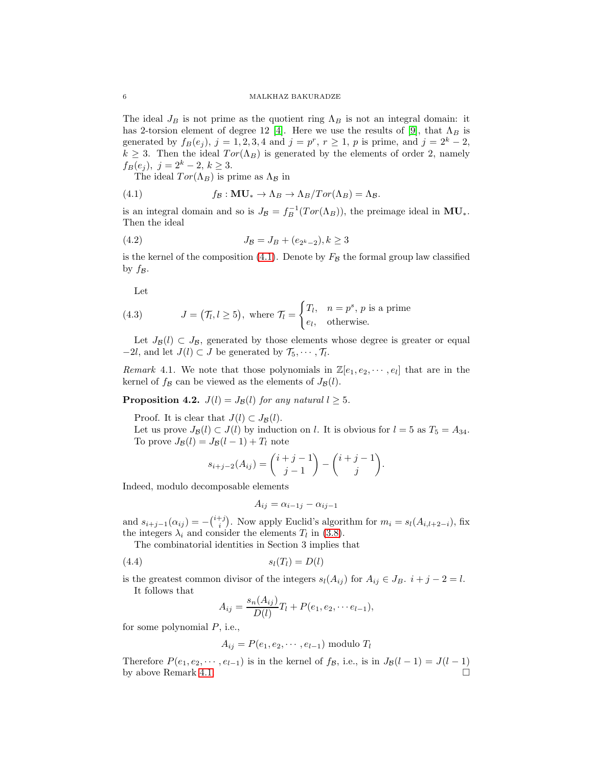The ideal  $J_B$  is not prime as the quotient ring  $\Lambda_B$  is not an integral domain: it has 2-torsion element of degree 12 [\[4\]](#page-12-10). Here we use the results of [\[9\]](#page-12-12), that  $\Lambda_B$  is generated by  $f_B(e_j)$ ,  $j = 1, 2, 3, 4$  and  $j = p^r$ ,  $r \ge 1$ , p is prime, and  $j = 2^k - 2$ ,  $k \geq 3$ . Then the ideal  $Tor(\Lambda_B)$  is generated by the elements of order 2, namely  $f_B(e_j), \ j=2^k-2, \ k\geq 3.$ 

<span id="page-5-0"></span>The ideal  $Tor(\Lambda_B)$  is prime as  $\Lambda_B$  in

(4.1) 
$$
f_{\mathcal{B}}: \mathbf{MU}_{*} \to \Lambda_{B} \to \Lambda_{B}/Tor(\Lambda_{B}) = \Lambda_{\mathcal{B}}.
$$

is an integral domain and so is  $J_{\mathcal{B}} = f_B^{-1}(Tor(\Lambda_B))$ , the preimage ideal in  $MU_*$ . Then the ideal

(4.2) 
$$
J_{\mathcal{B}} = J_B + (e_{2^k - 2}), k \ge 3
$$

is the kernel of the composition [\(4.1\)](#page-5-0). Denote by  $F<sub>B</sub>$  the formal group law classified by  $f_{\mathcal{B}}$ .

Let

<span id="page-5-2"></span>(4.3) 
$$
J = (\mathcal{T}_l, l \ge 5), \text{ where } \mathcal{T}_l = \begin{cases} T_l, & n = p^s, p \text{ is a prime} \\ e_l, & \text{otherwise.} \end{cases}
$$

Let  $J_{\mathcal{B}}(l) \subset J_{\mathcal{B}}$ , generated by those elements whose degree is greater or equal  $-2l$ , and let  $J(l) \subset J$  be generated by  $\mathcal{T}_5, \cdots, \mathcal{T}_l$ .

<span id="page-5-1"></span>Remark 4.1. We note that those polynomials in  $\mathbb{Z}[e_1, e_2, \dots, e_l]$  that are in the kernel of  $f_{\mathcal{B}}$  can be viewed as the elements of  $J_{\mathcal{B}}(l)$ .

<span id="page-5-4"></span>**Proposition 4.2.**  $J(l) = J<sub>B</sub>(l)$  for any natural  $l \geq 5$ .

Proof. It is clear that  $J(l) \subset J_{\mathcal{B}}(l)$ .

Let us prove  $J_{\mathcal{B}}(l) \subset J(l)$  by induction on l. It is obvious for  $l = 5$  as  $T_5 = A_{34}$ . To prove  $J_{\mathcal{B}}(l) = J_{\mathcal{B}}(l-1) + T_l$  note

$$
s_{i+j-2}(A_{ij}) = {i+j-1 \choose j-1} - {i+j-1 \choose j}.
$$

Indeed, modulo decomposable elements

<span id="page-5-3"></span>
$$
A_{ij} = \alpha_{i-1j} - \alpha_{ij-1}
$$

and  $s_{i+j-1}(\alpha_{ij}) = -\binom{i+j}{i}$ . Now apply Euclid's algorithm for  $m_i = s_i(A_{i,l+2-i})$ , fix the integers  $\lambda_i$  and consider the elements  $T_l$  in [\(3.8\)](#page-4-3).

The combinatorial identities in Section 3 implies that

(4.4)  $s_l(T_l) = D(l)$ 

is the greatest common divisor of the integers  $s_l(A_{ij})$  for  $A_{ij} \in J_B$ .  $i + j - 2 = l$ . It follows that

$$
A_{ij} = \frac{s_n(A_{ij})}{D(l)}T_l + P(e_1, e_2, \cdots e_{l-1}),
$$

for some polynomial  $P$ , i.e.,

$$
A_{ij} = P(e_1, e_2, \cdots, e_{l-1})
$$
 modulo  $T_l$ 

Therefore  $P(e_1, e_2, \dots, e_{l-1})$  is in the kernel of  $f_{\mathcal{B}}$ , i.e., is in  $J_{\mathcal{B}}(l-1) = J(l-1)$ by above Remark [4.1.](#page-5-1)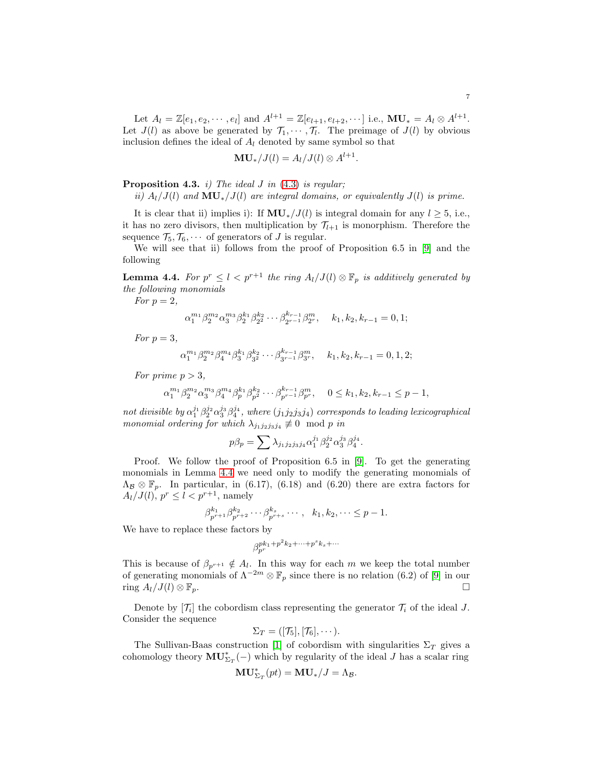$$
{\bf MU}_{\ast}/J(l)=A_{l}/J(l)\otimes A^{l+1}
$$

.

<span id="page-6-1"></span>**Proposition 4.3.** *i)* The ideal J in  $(4.3)$  is regular;

ii)  $A_l/J(l)$  and  $MU_*/J(l)$  are integral domains, or equivalently  $J(l)$  is prime.

It is clear that ii) implies i): If  $MU_*/J(l)$  is integral domain for any  $l \geq 5$ , i.e., it has no zero divisors, then multiplication by  $\mathcal{T}_{l+1}$  is monorphism. Therefore the sequence  $\mathcal{T}_5, \mathcal{T}_6, \cdots$  of generators of J is regular.

We will see that ii) follows from the proof of Proposition 6.5 in [\[9\]](#page-12-12) and the following

<span id="page-6-0"></span>**Lemma 4.4.** For  $p^r \leq l < p^{r+1}$  the ring  $A_l/J(l) \otimes \mathbb{F}_p$  is additively generated by the following monomials

For  $p=2$ ,

$$
\alpha_1^{m_1} \beta_2^{m_2} \alpha_3^{m_3} \beta_2^{k_1} \beta_2^{k_2} \cdots \beta_{2^{r-1}}^{k_{r-1}} \beta_{2^r}^m, \quad k_1, k_2, k_{r-1} = 0, 1;
$$

For  $p=3$ ,

 $\alpha_1^{m_1} \beta_2^{m_2} \beta_4^{m_4} \beta_3^{k_1} \beta_{3}^{k_2} \cdots \beta_{3r-1}^{k_{r-1}} \beta_3^{m_r}, \quad k_1, k_2, k_{r-1} = 0, 1, 2;$ 

For prime  $p > 3$ ,

 $\alpha_1^{m_1} \beta_2^{m_2} \alpha_3^{m_3} \beta_4^{m_4} \beta_p^{k_1} \beta_{p}^{k_2} \cdots \beta_{p^{r-1}}^{k_{r-1}} \beta_p^m$ ,  $0 \le k_1, k_2, k_{r-1} \le p-1$ ,

not divisible by  $\alpha_1^{j_1}\beta_2^{j_2}\alpha_3^{j_3}\beta_4^{j_4}$ , where  $(j_1j_2j_3j_4)$  corresponds to leading lexicographical monomial ordering for which  $\lambda_{j_1j_2j_3j_4} \not\equiv 0 \mod p$  in

$$
p\beta_p = \sum \lambda_{j_1 j_2 j_3 j_4} \alpha_1^{j_1} \beta_2^{j_2} \alpha_3^{j_3} \beta_4^{j_4}.
$$

Proof. We follow the proof of Proposition 6.5 in [\[9\]](#page-12-12). To get the generating monomials in Lemma [4.4](#page-6-0) we need only to modify the generating monomials of  $\Lambda_{\mathcal{B}} \otimes \mathbb{F}_p$ . In particular, in (6.17), (6.18) and (6.20) there are extra factors for  $A_l/J(l), p^r \leq l < p^{r+1}$ , namely

$$
\beta_{p^{r+1}}^{k_1} \beta_{p^{r+2}}^{k_2} \cdots \beta_{p^{r+s}}^{k_s} \cdots, \quad k_1, k_2, \cdots \leq p-1.
$$

We have to replace these factors by

$$
\beta_{p^r}^{pk_1+p^2k_2+\cdots+p^sk_s+\cdots}
$$

This is because of  $\beta_{p^{r+1}} \notin A_l$ . In this way for each m we keep the total number of generating monomials of  $\Lambda^{-2m} \otimes \mathbb{F}_p$  since there is no relation (6.2) of [\[9\]](#page-12-12) in our ring  $A_l/J(l) \otimes \mathbb{F}_p$ .

Denote by  $[\mathcal{T}_i]$  the cobordism class representing the generator  $\mathcal{T}_i$  of the ideal J. Consider the sequence

$$
\Sigma_T = ([\mathcal{T}_5], [\mathcal{T}_6], \cdots).
$$

The Sullivan-Baas construction [\[1\]](#page-12-14) of cobordism with singularities  $\Sigma_T$  gives a cohomology theory  $\mathbf{MU}_{\Sigma_T}^*(-)$  which by regularity of the ideal J has a scalar ring

$$
\mathbf{MU}_{\Sigma_T}^*(pt) = \mathbf{MU}_*/J = \Lambda_{\mathcal{B}}.
$$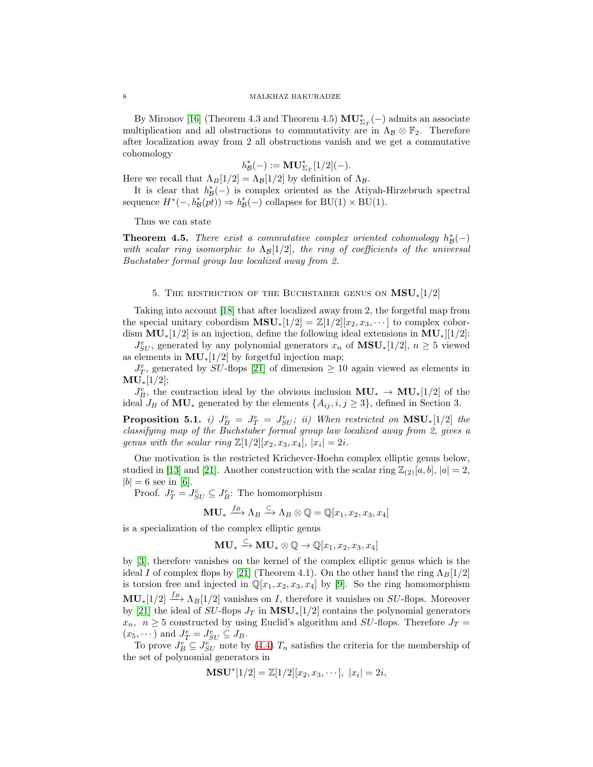By Mironov [\[16\]](#page-12-15) (Theorem 4.3 and Theorem 4.5)  $\mathbf{MU}^*_{\Sigma_T}(-)$  admits an associate multiplication and all obstructions to commutativity are in  $\Lambda_B \otimes \mathbb{F}_2$ . Therefore after localization away from 2 all obstructions vanish and we get a commutative cohomology

$$
h_{\mathcal{B}}^*(-):=\mathbf{MU}^*_{\Sigma_T}[1/2](-).
$$

Here we recall that  $\Lambda_B[1/2] = \Lambda_B[1/2]$  by definition of  $\Lambda_B$ .

It is clear that  $h^*_{\mathcal{B}}(-)$  is complex oriented as the Atiyah-Hirzebruch spectral sequence  $H^*(-, h^*_{\mathcal{B}}(pt)) \Rightarrow h^*_{\mathcal{B}}(-)$  collapses for  $BU(1) \times BU(1)$ .

Thus we can state

<span id="page-7-0"></span>**Theorem 4.5.** There exist a commutative complex oriented cohomology  $h^*_{\mathcal{B}}(-)$ with scalar ring isomorphic to  $\Lambda_{\mathcal{B}}[1/2]$ , the ring of coefficients of the universal Buchstaber formal group law localized away from 2.

### 5. THE RESTRICTION OF THE BUCHSTABER GENUS ON  $\text{MSU}_*[1/2]$

<span id="page-7-2"></span>Taking into account [\[18\]](#page-12-16) that after localized away from 2, the forgetful map from the special unitary cobordism  $\mathbf{MSU}_{*}[1/2] = \mathbb{Z}[1/2][x_2, x_3, \cdots]$  to complex cobordism  $MU_*[1/2]$  is an injection, define the following ideal extensions in  $MU_*|[1/2]$ :

 $J_{SU}^e$ , generated by any polynomial generators  $x_n$  of  $\text{MSU}_*[1/2]$ ,  $n \geq 5$  viewed as elements in  $MU_*[1/2]$  by forgetful injection map;

 $J_T^e$ , generated by SU-flops [\[21\]](#page-12-3) of dimension  $\geq 10$  again viewed as elements in  $MU_*[1/2];$ 

 $J_B^e$ , the contraction ideal by the obvious inclusion  $MU_* \to MU_*[1/2]$  of the ideal  $J_B$  of MU<sub>∗</sub> generated by the elements  $\{A_{ij}, i, j \geq 3\}$ , defined in Section 3.

<span id="page-7-1"></span>**Proposition 5.1.** i)  $J_B^e = J_T^e = J_{SU}^e$ ; ii) When restricted on  $MSU_*[1/2]$  the classifying map of the Buchstaber formal group law localized away from 2, gives a genus with the scalar ring  $\mathbb{Z}[1/2][x_2, x_3, x_4], |x_i|=2i.$ 

One motivation is the restricted Krichever-Hoehn complex elliptic genus below, studied in [\[13\]](#page-12-2) and [\[21\]](#page-12-3). Another construction with the scalar ring  $\mathbb{Z}_{(2)}[a, b]$ ,  $|a| = 2$ ,  $|b| = 6$  see in [\[6\]](#page-12-17).

Proof.  $J_T^e = J_{SU}^e \subseteq J_B^e$ : The homomorphism

$$
\mathbf{MU}_{*} \xrightarrow{f_{B}} \Lambda_{B} \xrightarrow{\subset} \Lambda_{B} \otimes \mathbb{Q} = \mathbb{Q}[x_{1}, x_{2}, x_{3}, x_{4}]
$$

is a specialization of the complex elliptic genus

 $\mathbf{MU}_{*} \stackrel{\subset}{\longrightarrow} \mathbf{MU}_{*} \otimes \mathbb{Q} \to \mathbb{Q}[x_{1},x_{2},x_{3},x_{4}]$ 

by [\[3\]](#page-12-9), therefore vanishes on the kernel of the complex elliptic genus which is the ideal I of complex flops by [\[21\]](#page-12-3) (Theorem 4.1). On the other hand the ring  $\Lambda_B[1/2]$ is torsion free and injected in  $\mathbb{Q}[x_1, x_2, x_3, x_4]$  by [\[9\]](#page-12-12). So the ring homomorphism  $MU_*[1/2] \stackrel{f_B}{\longrightarrow} \Lambda_B[1/2]$  vanishes on *I*, therefore it vanishes on *SU*-flops. Moreover by [\[21\]](#page-12-3) the ideal of  $SU$ -flops  $J_T$  in  $\text{MSU}_*[1/2]$  contains the polynomial generators  $x_n$ ,  $n \geq 5$  constructed by using Euclid's algorithm and SU-flops. Therefore  $J_T =$  $(x_5, \dots)$  and  $J_T^e = J_{SU}^e \subseteq J_B$ .

To prove  $J_B^e \subseteq J_{SU}^e$  note by [\(4.4\)](#page-5-3)  $T_n$  satisfies the criteria for the membership of the set of polynomial generators in

$$
\mathbf{MSU}^*[1/2] = \mathbb{Z}[1/2][x_2, x_3, \cdots], |x_i| = 2i,
$$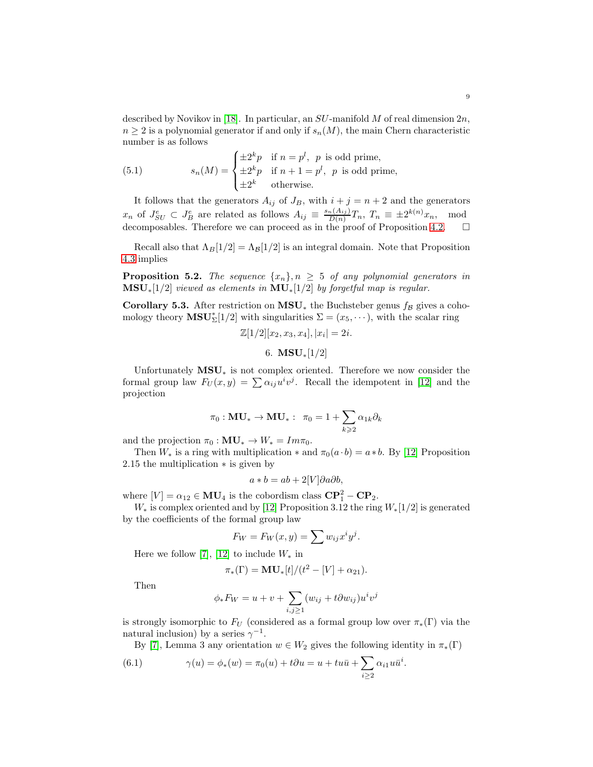described by Novikov in [\[18\]](#page-12-16). In particular, an  $SU$ -manifold M of real dimension  $2n$ ,  $n \geq 2$  is a polynomial generator if and only if  $s_n(M)$ , the main Chern characteristic number is as follows

(5.1) 
$$
s_n(M) = \begin{cases} \pm 2^k p & \text{if } n = p^l, \ p \text{ is odd prime,} \\ \pm 2^k p & \text{if } n + 1 = p^l, \ p \text{ is odd prime,} \\ \pm 2^k & \text{otherwise.} \end{cases}
$$

It follows that the generators  $A_{ij}$  of  $J_B$ , with  $i + j = n + 2$  and the generators  $x_n$  of  $J_{SU}^e \subset J_B^e$  are related as follows  $A_{ij} \equiv \frac{s_n(A_{ij})}{D(n)}$  $\frac{d_n(A_{ij})}{D(n)}T_n$ ,  $T_n \equiv \pm 2^{k(n)}x_n$ , mod decomposables. Therefore we can proceed as in the proof of Proposition [4.2.](#page-5-4)  $\Box$ 

Recall also that  $\Lambda_B[1/2] = \Lambda_B[1/2]$  is an integral domain. Note that Proposition [4.3](#page-6-1) implies

<span id="page-8-2"></span>**Proposition 5.2.** The sequence  $\{x_n\}$ ,  $n \geq 5$  of any polynomial generators in  $\textbf{MSU}$ <sub>\*</sub>[1/2] viewed as elements in  $\textbf{MU}$ <sub>\*</sub>[1/2] by forgetful map is regular.

Corollary 5.3. After restriction on MSU<sub>∗</sub> the Buchsteber genus  $f_B$  gives a cohomology theory  $\mathbf{MSU}_{\Sigma}^{*}[1/2]$  with singularities  $\Sigma = (x_5, \dots),$  with the scalar ring

$$
\mathbb{Z}[1/2][x_2, x_3, x_4], |x_i| = 2i.
$$

6. 
$$
MSU_*[1/2]
$$

<span id="page-8-0"></span>Unfortunately  $MSU_*$  is not complex oriented. Therefore we now consider the formal group law  $F_U(x,y) = \sum_{i} \alpha_{ij} u^i v^j$ . Recall the idempotent in [\[12\]](#page-12-4) and the projection

$$
\pi_0: \mathbf{MU}_* \to \mathbf{MU}_* : \ \pi_0 = 1 + \sum_{k \geqslant 2} \alpha_{1k} \partial_k
$$

and the projection  $\pi_0 : MU_* \to W_* = Im \pi_0$ .

Then  $W_*$  is a ring with multiplication  $*$  and  $\pi_0(a \cdot b) = a * b$ . By [\[12\]](#page-12-4) Proposition 2.15 the multiplication ∗ is given by

$$
a * b = ab + 2[V]\partial a \partial b,
$$

where  $[V] = \alpha_{12} \in MU_4$  is the cobordism class  $\mathbf{CP}_1^2 - \mathbf{CP}_2$ .

 $W_*$  is complex oriented and by [\[12\]](#page-12-4) Proposition 3.12 the ring  $W_*$ [1/2] is generated by the coefficients of the formal group law

$$
F_W = F_W(x, y) = \sum w_{ij} x^i y^j.
$$

Here we follow [\[7\]](#page-12-18), [\[12\]](#page-12-4) to include  $W_*$  in

$$
\pi_*(\Gamma) = MU_*[t]/(t^2 - [V] + \alpha_{21}).
$$

Then

$$
\phi_* F_W = u + v + \sum_{i,j \ge 1} (w_{ij} + t \partial w_{ij}) u^i v^j
$$

is strongly isomorphic to  $F_U$  (considered as a formal group low over  $\pi_*(\Gamma)$  via the natural inclusion) by a series  $\gamma^{-1}$ .

<span id="page-8-1"></span>By [\[7\]](#page-12-18), Lemma 3 any orientation  $w \in W_2$  gives the following identity in  $\pi_*(\Gamma)$ 

(6.1) 
$$
\gamma(u) = \phi_*(w) = \pi_0(u) + t\partial u = u + tu\bar{u} + \sum_{i \ge 2} \alpha_{i1} u\bar{u}^i.
$$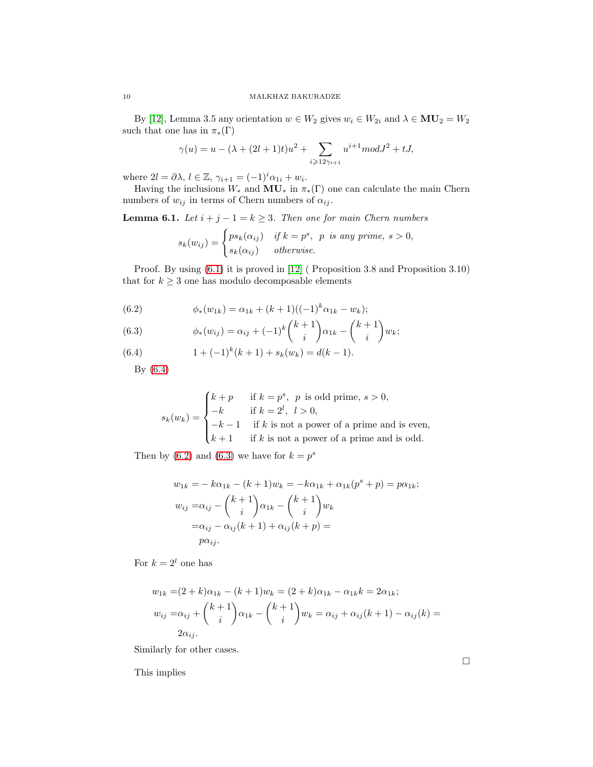By [\[12\]](#page-12-4), Lemma 3.5 any orientation  $w \in W_2$  gives  $w_i \in W_{2i}$  and  $\lambda \in MU_2 = W_2$ such that one has in  $\pi_*(\Gamma)$ 

$$
\gamma(u)=u-(\lambda+(2l+1)t)u^2+\sum_{i\geqslant 12\gamma_{i+1}}u^{i+1}mod J^2+tJ,
$$

where  $2l = \partial \lambda, l \in \mathbb{Z}, \gamma_{i+1} = (-1)^i \alpha_{1i} + w_i.$ 

Having the inclusions  $W_*$  and  $\overline{\text{MU}}_*$  in  $\pi_*(\Gamma)$  one can calculate the main Chern numbers of  $w_{ij}$  in terms of Chern numbers of  $\alpha_{ij}$ .

**Lemma 6.1.** Let  $i + j - 1 = k \ge 3$ . Then one for main Chern numbers

$$
s_k(w_{ij}) = \begin{cases} ps_k(\alpha_{ij}) & \text{if } k = p^s, \ p \text{ is any prime, } s > 0, \\ s_k(\alpha_{ij}) & \text{otherwise.} \end{cases}
$$

Proof. By using  $(6.1)$  it is proved in [\[12\]](#page-12-4) (Proposition 3.8 and Proposition 3.10) that for  $k \geq 3$  one has modulo decomposable elements

<span id="page-9-1"></span>(6.2) 
$$
\phi_*(w_{1k}) = \alpha_{1k} + (k+1)((-1)^k \alpha_{1k} - w_k);
$$

<span id="page-9-2"></span>(6.3) 
$$
\phi_*(w_{ij}) = \alpha_{ij} + (-1)^k {k+1 \choose i} \alpha_{1k} - {k+1 \choose i} w_k;
$$

<span id="page-9-0"></span>(6.4) 
$$
1 + (-1)^k (k+1) + s_k (w_k) = d(k-1).
$$

By [\(6.4\)](#page-9-0)

$$
s_k(w_k) = \begin{cases} k+p & \text{if } k=p^s, \ p \text{ is odd prime, } s>0, \\ -k & \text{if } k=2^l, \ l>0, \\ -k-1 & \text{if } k \text{ is not a power of a prime and is even,} \\ k+1 & \text{if } k \text{ is not a power of a prime and is odd.} \end{cases}
$$

Then by [\(6.2\)](#page-9-1) and [\(6.3\)](#page-9-2) we have for  $k = p<sup>s</sup>$ 

$$
w_{1k} = -k\alpha_{1k} - (k+1)w_k = -k\alpha_{1k} + \alpha_{1k}(p^s + p) = p\alpha_{1k};
$$
  
\n
$$
w_{ij} = \alpha_{ij} - \binom{k+1}{i}\alpha_{1k} - \binom{k+1}{i}w_k
$$
  
\n
$$
= \alpha_{ij} - \alpha_{ij}(k+1) + \alpha_{ij}(k+p) =
$$
  
\n
$$
p\alpha_{ij}.
$$

For  $k = 2^l$  one has

$$
w_{1k} = (2 + k)\alpha_{1k} - (k + 1)w_k = (2 + k)\alpha_{1k} - \alpha_{1k}k = 2\alpha_{1k};
$$
  
\n
$$
w_{ij} = \alpha_{ij} + {k+1 \choose i} \alpha_{1k} - {k+1 \choose i} w_k = \alpha_{ij} + \alpha_{ij}(k+1) - \alpha_{ij}(k) = 2\alpha_{ij}.
$$

Similarly for other cases.

This implies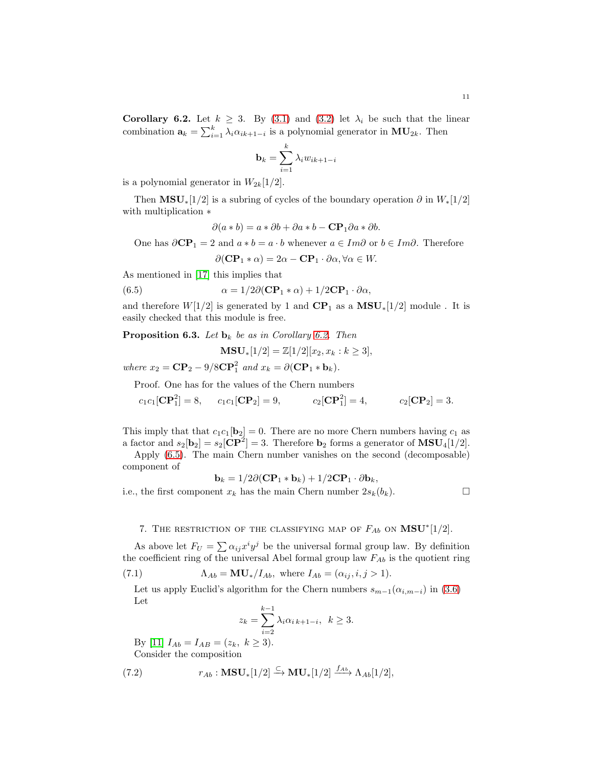11

<span id="page-10-2"></span>Corollary 6.2. Let  $k \geq 3$ . By [\(3.1\)](#page-3-2) and [\(3.2\)](#page-3-3) let  $\lambda_i$  be such that the linear combination  $\mathbf{a}_k = \sum_{i=1}^k \lambda_i \alpha_{ik+1-i}$  is a polynomial generator in  $\mathbf{MU}_{2k}$ . Then

$$
\mathbf{b}_k = \sum_{i=1}^k \lambda_i w_{ik+1-i}
$$

is a polynomial generator in  $W_{2k}[1/2]$ .

Then  $\text{MSU}_*[1/2]$  is a subring of cycles of the boundary operation  $\partial$  in  $W_*[1/2]$ with multiplication ∗

$$
\partial(a * b) = a * \partial b + \partial a * b - \mathbf{CP}_1 \partial a * \partial b.
$$

One has  $\partial CP_1 = 2$  and  $a * b = a \cdot b$  whenever  $a \in Im \partial$  or  $b \in Im \partial$ . Therefore

<span id="page-10-3"></span>
$$
\partial(\mathbf{CP}_1 * \alpha) = 2\alpha - \mathbf{CP}_1 \cdot \partial \alpha, \forall \alpha \in W.
$$

As mentioned in [\[17\]](#page-12-1) this implies that

(6.5) 
$$
\alpha = 1/2\partial(\mathbf{CP}_1 * \alpha) + 1/2\mathbf{CP}_1 \cdot \partial \alpha,
$$

and therefore  $W[1/2]$  is generated by 1 and  $\mathbf{CP}_1$  as a  $\mathbf{MSU}_*[1/2]$  module. It is easily checked that this module is free.

<span id="page-10-0"></span>**Proposition 6.3.** Let  $\mathbf{b}_k$  be as in Corollary [6.2.](#page-10-2) Then

$$
\mathbf{MSU}_{*}[1/2] = \mathbb{Z}[1/2][x_2, x_k : k \ge 3],
$$

where  $x_2 = \mathbf{CP}_2 - 9/8\mathbf{CP}_1^2$  and  $x_k = \partial(\mathbf{CP}_1 * \mathbf{b}_k)$ .

Proof. One has for the values of the Chern numbers

 $c_1c_1[\mathbf{CP}_1^2] = 8, \quad c_1c_1[\mathbf{CP}_2] = 9, \quad c_2[\mathbf{CP}_1^2]$  $c_2[\mathbf{CP}_1^2] = 4,$  $c_2[\mathbf{CP}_2] = 3.$ 

This imply that that  $c_1c_1[\mathbf{b}_2] = 0$ . There are no more Chern numbers having  $c_1$  as a factor and  $s_2[\mathbf{b}_2] = s_2[\mathbf{CP}^2] = 3$ . Therefore  $\mathbf{b}_2$  forms a generator of  $\mathbf{MSU}_4[1/2]$ .

Apply [\(6.5\)](#page-10-3). The main Chern number vanishes on the second (decomposable) component of

$$
\mathbf{b}_k = 1/2\partial(\mathbf{CP}_1 * \mathbf{b}_k) + 1/2\mathbf{CP}_1 \cdot \partial \mathbf{b}_k,
$$

i.e., the first component  $x_k$  has the main Chern number  $2s_k(b_k)$ .

# <span id="page-10-1"></span>7. THE RESTRICTION OF THE CLASSIFYING MAP OF  $F_{Ab}$  on  $\textbf{MSU}^{*}[1/2]$ .

As above let  $F_U = \sum \alpha_{ij} x^i y^j$  be the universal formal group law. By definition the coefficient ring of the universal Abel formal group law  $F_{Ab}$  is the quotient ring

(7.1) 
$$
\Lambda_{Ab} = \mathbf{MU}_{*}/I_{Ab}, \text{ where } I_{Ab} = (\alpha_{ij}, i, j > 1).
$$

Let us apply Euclid's algorithm for the Chern numbers  $s_{m-1}(\alpha_{i,m-i})$  in [\(3.6\)](#page-4-4) Let

$$
z_k = \sum_{i=2}^{k-1} \lambda_i \alpha_{i \, k+1-i}, \quad k \ge 3.
$$

By [\[11\]](#page-12-19)  $I_{Ab} = I_{AB} = (z_k, k \ge 3)$ . Consider the composition

(7.2) 
$$
r_{Ab}: \mathbf{MSU}_{*}[1/2] \xrightarrow{C} \mathbf{MU}_{*}[1/2] \xrightarrow{f_{Ab}} \Lambda_{Ab}[1/2],
$$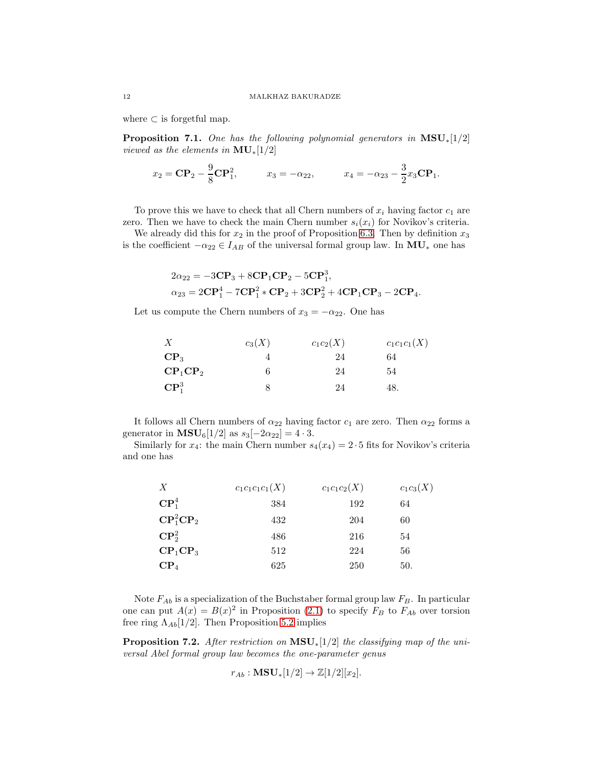where  $\subset$  is forgetful map.

**Proposition 7.1.** One has the following polynomial generators in  $MSU_*[1/2]$ viewed as the elements in  $\text{MU}_*[1/2]$ 

$$
x_2 = \mathbf{CP}_2 - \frac{9}{8}\mathbf{CP}_1^2
$$
,  $x_3 = -\alpha_{22}$ ,  $x_4 = -\alpha_{23} - \frac{3}{2}x_3\mathbf{CP}_1$ .

To prove this we have to check that all Chern numbers of  $x_i$  having factor  $c_1$  are zero. Then we have to check the main Chern number  $s_i(x_i)$  for Novikov's criteria.

We already did this for  $x_2$  in the proof of Proposition [6.3.](#page-10-0) Then by definition  $x_3$ is the coefficient  $-\alpha_{22} \in I_{AB}$  of the universal formal group law. In  $MU_*$  one has

$$
2\alpha_{22} = -3\mathbf{CP}_{3} + 8\mathbf{CP}_{1}\mathbf{CP}_{2} - 5\mathbf{CP}_{1}^{3},
$$
  
\n
$$
\alpha_{23} = 2\mathbf{CP}_{1}^{4} - 7\mathbf{CP}_{1}^{2} * \mathbf{CP}_{2} + 3\mathbf{CP}_{2}^{2} + 4\mathbf{CP}_{1}\mathbf{CP}_{3} - 2\mathbf{CP}_{4}.
$$

Let us compute the Chern numbers of  $x_3 = -\alpha_{22}$ . One has

| X                  | $c_3(X)$ | $c_1c_2(X)$ | $c_1c_1c_1(X)$ |
|--------------------|----------|-------------|----------------|
| $\mathbf{CP}_3$    |          | 24          | 64             |
| $\rm CP_1\rm CP_2$ | h        | 24          | 54             |
| $\mathbf{CP}^3_1$  |          | 24          | 48.            |

It follows all Chern numbers of  $\alpha_{22}$  having factor  $c_1$  are zero. Then  $\alpha_{22}$  forms a generator in **MSU**<sub>6</sub>[1/2] as  $s_3[-2\alpha_{22}] = 4 \cdot 3$ .

Similarly for  $x_4$ : the main Chern number  $s_4(x_4) = 2 \cdot 5$  fits for Novikov's criteria and one has

| X                              | $c_1c_1c_1c_1(X)$ | $c_1c_1c_2(X)$ | $c_1c_3(X)$ |
|--------------------------------|-------------------|----------------|-------------|
| $\mathbf{CP}^4_1$              | 384               | 192            | 64          |
| $\mathbf{CP}^2_1\mathbf{CP}_2$ | 432               | 204            | 60          |
| $\mathbf{CP}^2_2$              | 486               | 216            | 54          |
| $\rm CP_1\rm CP_3$             | 512               | 224            | 56          |
| $\rm CP_4$                     | 625               | 250            | 50.         |

Note  $F_{Ab}$  is a specialization of the Buchstaber formal group law  $F_B$ . In particular one can put  $A(x) = B(x)^2$  in Proposition [\(2.1\)](#page-3-0) to specify  $F_B$  to  $F_{Ab}$  over torsion free ring  $\Lambda_{Ab} [1/2]$ . Then Proposition [5.2](#page-8-2) implies

**Proposition 7.2.** After restriction on  $MSU_*[1/2]$  the classifying map of the universal Abel formal group law becomes the one-parameter genus

$$
r_{Ab}: \mathbf{MSU}_*[1/2] \to \mathbb{Z}[1/2][x_2].
$$